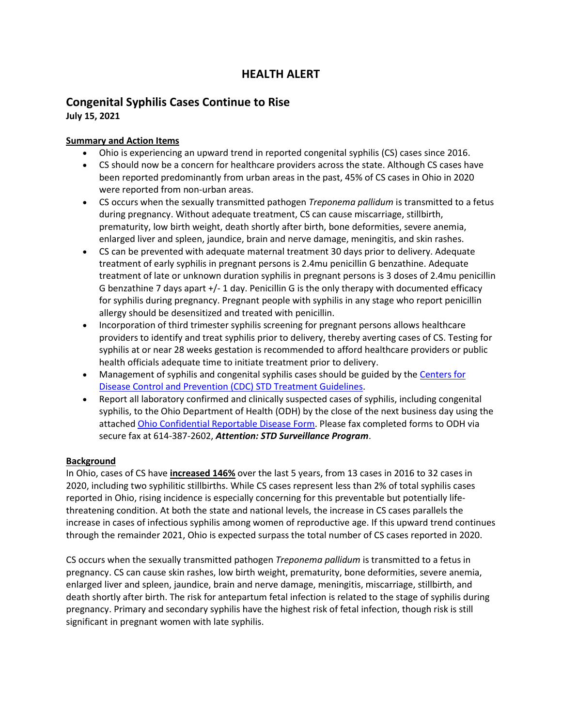# **HEALTH ALERT**

# **Congenital Syphilis Cases Continue to Rise**

**July 15, 2021**

# **Summary and Action Items**

- Ohio is experiencing an upward trend in reported congenital syphilis (CS) cases since 2016.
- CS should now be a concern for healthcare providers across the state. Although CS cases have been reported predominantly from urban areas in the past, 45% of CS cases in Ohio in 2020 were reported from non-urban areas.
- CS occurs when the sexually transmitted pathogen *Treponema pallidum* is transmitted to a fetus during pregnancy. Without adequate treatment, CS can cause miscarriage, stillbirth, prematurity, low birth weight, death shortly after birth, bone deformities, severe anemia, enlarged liver and spleen, jaundice, brain and nerve damage, meningitis, and skin rashes.
- CS can be prevented with adequate maternal treatment 30 days prior to delivery. Adequate treatment of early syphilis in pregnant persons is 2.4mu penicillin G benzathine. Adequate treatment of late or unknown duration syphilis in pregnant persons is 3 doses of 2.4mu penicillin G benzathine 7 days apart +/- 1 day. Penicillin G is the only therapy with documented efficacy for syphilis during pregnancy. Pregnant people with syphilis in any stage who report penicillin allergy should be desensitized and treated with penicillin.
- Incorporation of third trimester syphilis screening for pregnant persons allows healthcare providers to identify and treat syphilis prior to delivery, thereby averting cases of CS. Testing for syphilis at or near 28 weeks gestation is recommended to afford healthcare providers or public health officials adequate time to initiate treatment prior to delivery.
- Management of syphilis and congenital syphilis cases should be guided by the Centers for [Disease Control and Prevention \(CDC\) STD Treatment Guidelines.](https://www.cdc.gov/std/tg2015/syphilis.htm)
- Report all laboratory confirmed and clinically suspected cases of syphilis, including congenital syphilis, to the Ohio Department of Health (ODH) by the close of the next business day using the attached [Ohio Confidential Reportable Disease Form.](https://odh.ohio.gov/wps/wcm/connect/gov/8a5539e9-f823-480d-a2c7-a30e80c33d62/form-confidential-reportable-disease.pdf?MOD=AJPERES&CONVERT_TO=url&CACHEID=ROOTWORKSPACE.Z18_M1HGGIK0N0JO00QO9DDDDM3000-8a5539e9-f823-480d-a2c7-a30e80c33d62-mR0PC0i) Please fax completed forms to ODH via secure fax at 614-387-2602, *Attention: STD Surveillance Program*.

# **Background**

In Ohio, cases of CS have **increased 146%** over the last 5 years, from 13 cases in 2016 to 32 cases in 2020, including two syphilitic stillbirths. While CS cases represent less than 2% of total syphilis cases reported in Ohio, rising incidence is especially concerning for this preventable but potentially lifethreatening condition. At both the state and national levels, the increase in CS cases parallels the increase in cases of infectious syphilis among women of reproductive age. If this upward trend continues through the remainder 2021, Ohio is expected surpass the total number of CS cases reported in 2020.

CS occurs when the sexually transmitted pathogen *Treponema pallidum* is transmitted to a fetus in pregnancy. CS can cause skin rashes, low birth weight, prematurity, bone deformities, severe anemia, enlarged liver and spleen, jaundice, brain and nerve damage, meningitis, miscarriage, stillbirth, and death shortly after birth. The risk for antepartum fetal infection is related to the stage of syphilis during pregnancy. Primary and secondary syphilis have the highest risk of fetal infection, though risk is still significant in pregnant women with late syphilis.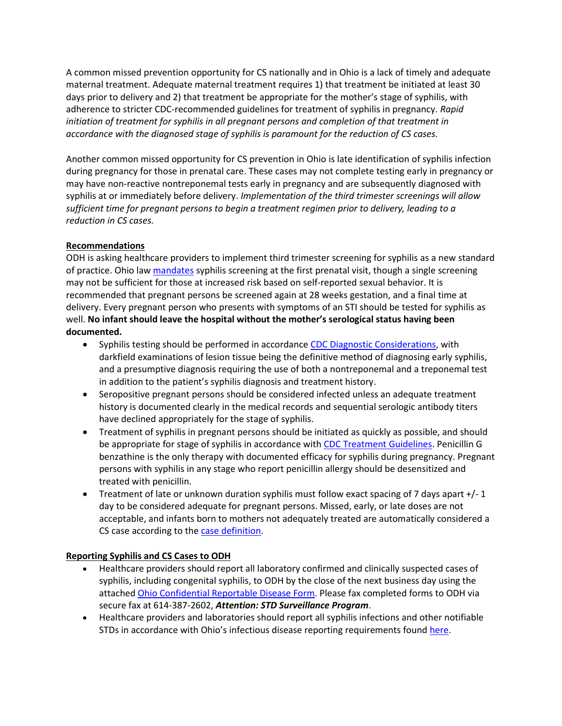A common missed prevention opportunity for CS nationally and in Ohio is a lack of timely and adequate maternal treatment. Adequate maternal treatment requires 1) that treatment be initiated at least 30 days prior to delivery and 2) that treatment be appropriate for the mother's stage of syphilis, with adherence to stricter CDC-recommended guidelines for treatment of syphilis in pregnancy. *Rapid initiation of treatment for syphilis in all pregnant persons and completion of that treatment in accordance with the diagnosed stage of syphilis is paramount for the reduction of CS cases.*

Another common missed opportunity for CS prevention in Ohio is late identification of syphilis infection during pregnancy for those in prenatal care. These cases may not complete testing early in pregnancy or may have non-reactive nontreponemal tests early in pregnancy and are subsequently diagnosed with syphilis at or immediately before delivery. *Implementation of the third trimester screenings will allow sufficient time for pregnant persons to begin a treatment regimen prior to delivery, leading to a reduction in CS cases.* 

#### **Recommendations**

ODH is asking healthcare providers to implement third trimester screening for syphilis as a new standard of practice. Ohio law [mandates](http://codes.ohio.gov/orc/3701.50) syphilis screening at the first prenatal visit, though a single screening may not be sufficient for those at increased risk based on self-reported sexual behavior. It is recommended that pregnant persons be screened again at 28 weeks gestation, and a final time at delivery. Every pregnant person who presents with symptoms of an STI should be tested for syphilis as well. **No infant should leave the hospital without the mother's serological status having been documented.**

- Syphilis testing should be performed in accordance [CDC Diagnostic Considerations,](https://www.cdc.gov/std/tg2015/syphilis.htm#diag) with darkfield examinations of lesion tissue being the definitive method of diagnosing early syphilis, and a presumptive diagnosis requiring the use of both a nontreponemal and a treponemal test in addition to the patient's syphilis diagnosis and treatment history.
- Seropositive pregnant persons should be considered infected unless an adequate treatment history is documented clearly in the medical records and sequential serologic antibody titers have declined appropriately for the stage of syphilis.
- Treatment of syphilis in pregnant persons should be initiated as quickly as possible, and should be appropriate for stage of syphilis in accordance wit[h CDC Treatment Guidelines.](https://www.cdc.gov/std/tg2015/syphilis.htm#Treatment) Penicillin G benzathine is the only therapy with documented efficacy for syphilis during pregnancy. Pregnant persons with syphilis in any stage who report penicillin allergy should be desensitized and treated with penicillin.
- Treatment of late or unknown duration syphilis must follow exact spacing of 7 days apart +/-1 day to be considered adequate for pregnant persons. Missed, early, or late doses are not acceptable, and infants born to mothers not adequately treated are automatically considered a CS case according to the [case definition.](https://wwwn.cdc.gov/nndss/conditions/congenital-syphilis/case-definition/2018/)

# **Reporting Syphilis and CS Cases to ODH**

- Healthcare providers should report all laboratory confirmed and clinically suspected cases of syphilis, including congenital syphilis, to ODH by the close of the next business day using the attached [Ohio Confidential Reportable Disease](https://odh.ohio.gov/wps/wcm/connect/gov/8a5539e9-f823-480d-a2c7-a30e80c33d62/form-confidential-reportable-disease.pdf?MOD=AJPERES&CONVERT_TO=url&CACHEID=ROOTWORKSPACE.Z18_M1HGGIK0N0JO00QO9DDDDM3000-8a5539e9-f823-480d-a2c7-a30e80c33d62-mR0PC0i) Form. Please fax completed forms to ODH via secure fax at 614-387-2602, *Attention: STD Surveillance Program*.
- Healthcare providers and laboratories should report all syphilis infections and other notifiable STDs in accordance with Ohio's infectious disease reporting requirements found [here.](https://gcc01.safelinks.protection.outlook.com/?url=https%3A%2F%2Fodh.ohio.gov%2Fwps%2Fportal%2Fgov%2Fodh%2Fknow-our-programs%2Fstd-surveillance%2FReporting%2F&data=02%7C01%7CLaurie.Rickert%40odh.ohio.gov%7Cc55eedaf84bc4bf5b46808d7b4a2c404%7C50f8fcc494d84f0784eb36ed57c7c8a2%7C0%7C1%7C637176484696674198&sdata=yuWDZKKwXNKkpUxBAxUxoA%2FQcBJMjo1wwtdky4f4u6g%3D&reserved=0)